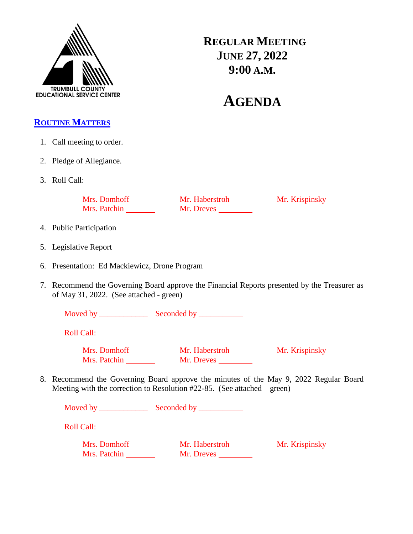

**REGULAR MEETING JUNE 27, 2022 9:00 A.M.**

# **AGENDA**

## **ROUTINE MATTERS**

- 1. Call meeting to order.
- 2. Pledge of Allegiance.
- 3. Roll Call:

Mrs. Domhoff Mr. Haberstroh Mr. Krispinsky Mrs. Patchin Mr. Dreves

- 4. Public Participation
- 5. Legislative Report
- 6. Presentation: Ed Mackiewicz, Drone Program
- 7. Recommend the Governing Board approve the Financial Reports presented by the Treasurer as of May 31, 2022. (See attached - green)

Moved by \_\_\_\_\_\_\_\_\_\_\_\_ Seconded by \_\_\_\_\_\_\_\_\_\_\_

Roll Call:

Mrs. Domhoff Mr. Haberstroh Mr. Krispinsky Mrs. Patchin Mr. Dreves

8. Recommend the Governing Board approve the minutes of the May 9, 2022 Regular Board Meeting with the correction to Resolution #22-85. (See attached – green)

| Moved by                     |                              |                |
|------------------------------|------------------------------|----------------|
| <b>Roll Call:</b>            |                              |                |
| Mrs. Domhoff<br>Mrs. Patchin | Mr. Haberstroh<br>Mr. Dreves | Mr. Krispinsky |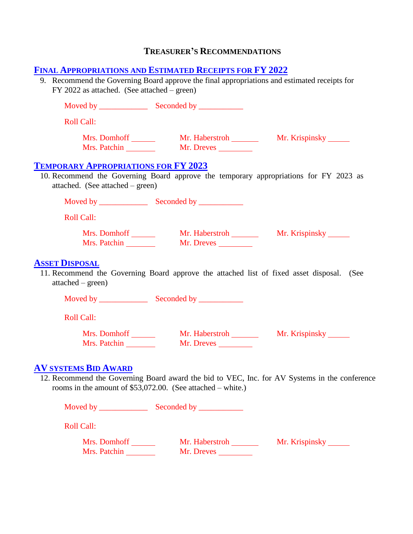## **TREASURER'S RECOMMENDATIONS**

#### **FINAL APPROPRIATIONS AND ESTIMATED RECEIPTS FOR FY 2022**

9. Recommend the Governing Board approve the final appropriations and estimated receipts for FY 2022 as attached. (See attached – green)

| <b>Roll Call:</b>                           |                                                               |                                                                                               |
|---------------------------------------------|---------------------------------------------------------------|-----------------------------------------------------------------------------------------------|
| Mrs. Patchin                                | Mr. Dreves                                                    |                                                                                               |
| <b>TEMPORARY APPROPRIATIONS FOR FY 2023</b> |                                                               | 10. Recommend the Governing Board approve the temporary appropriations for FY 2023 as         |
| attached. (See attached $-$ green)          |                                                               |                                                                                               |
| <b>Roll Call:</b>                           |                                                               |                                                                                               |
| Mrs. Patchin                                | Mr. Dreves                                                    |                                                                                               |
| <b>ASSET DISPOSAL</b><br>$attached-green)$  |                                                               | 11. Recommend the Governing Board approve the attached list of fixed asset disposal. (See     |
|                                             |                                                               |                                                                                               |
| <b>Roll Call:</b>                           |                                                               |                                                                                               |
|                                             | Mrs. Patchin Mr. Dreves                                       |                                                                                               |
| <b>AV SYSTEMS BID AWARD</b>                 | rooms in the amount of $$53,072.00$ . (See attached – white.) | 12. Recommend the Governing Board award the bid to VEC, Inc. for AV Systems in the conference |
|                                             |                                                               |                                                                                               |

Roll Call:

Mrs. Domhoff Mr. Haberstroh Mr. Krispinsky Mrs. Patchin Mr. Dreves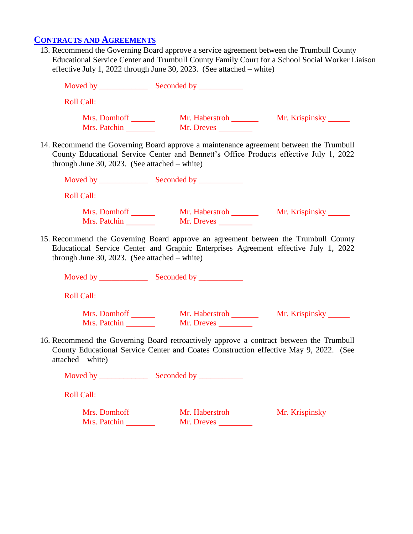## **CONTRACTS AND AGREEMENTS**

13. Recommend the Governing Board approve a service agreement between the Trumbull County Educational Service Center and Trumbull County Family Court for a School Social Worker Liaison effective July 1, 2022 through June 30, 2023. (See attached – white)

| <b>Roll Call:</b>                                                                                                                         |                              |                                                                                        |
|-------------------------------------------------------------------------------------------------------------------------------------------|------------------------------|----------------------------------------------------------------------------------------|
| Mrs. Domhoff ________<br>Mrs. Patchin                                                                                                     | Mr. Haberstroh<br>Mr. Dreves | Mr. Krispinsky _______                                                                 |
| 14. Recommend the Governing Board approve a maintenance agreement between the Trumbull<br>through June 30, 2023. (See attached $-$ white) |                              | County Educational Service Center and Bennett's Office Products effective July 1, 2022 |
|                                                                                                                                           |                              |                                                                                        |
| <b>Roll Call:</b>                                                                                                                         |                              |                                                                                        |
| Mrs. Domhoff ________<br>Mrs. Patchin                                                                                                     | Mr. Dreves                   | Mr. Haberstroh _________ Mr. Krispinsky ______                                         |
| 15. Recommend the Governing Board approve an agreement between the Trumbull County<br>through June 30, 2023. (See attached $-$ white)     |                              | Educational Service Center and Graphic Enterprises Agreement effective July 1, 2022    |
|                                                                                                                                           |                              |                                                                                        |
| <b>Roll Call:</b>                                                                                                                         |                              |                                                                                        |
| Mrs. Domhoff<br>Mrs. Patchin                                                                                                              | Mr. Haberstroh               | Mr. Krispinsky                                                                         |

16. Recommend the Governing Board retroactively approve a contract between the Trumbull County Educational Service Center and Coates Construction effective May 9, 2022. (See attached – white)

Moved by \_\_\_\_\_\_\_\_\_\_\_\_ Seconded by \_\_\_\_\_\_\_\_\_\_\_

Roll Call:

Mrs. Domhoff Mr. Haberstroh Mr. Krispinsky Mrs. Patchin \_\_\_\_\_\_\_\_\_ Mr. Dreves \_\_\_\_\_\_\_\_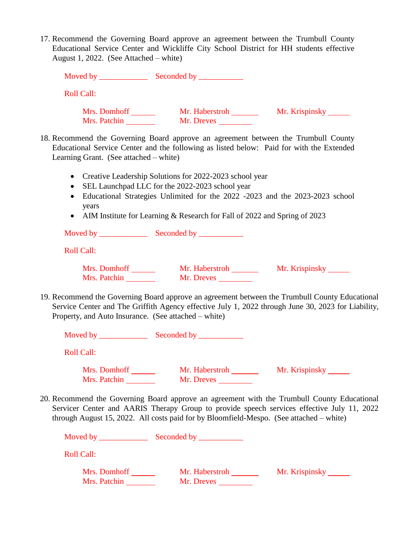17. Recommend the Governing Board approve an agreement between the Trumbull County Educational Service Center and Wickliffe City School District for HH students effective August 1, 2022. (See Attached – white)

| Moved by                     |                              |                |
|------------------------------|------------------------------|----------------|
| <b>Roll Call:</b>            |                              |                |
| Mrs. Domhoff<br>Mrs. Patchin | Mr. Haberstroh<br>Mr. Dreves | Mr. Krispinsky |

- 18. Recommend the Governing Board approve an agreement between the Trumbull County Educational Service Center and the following as listed below: Paid for with the Extended Learning Grant. (See attached – white)
	- Creative Leadership Solutions for 2022-2023 school year
	- SEL Launchpad LLC for the 2022-2023 school year
	- Educational Strategies Unlimited for the 2022 -2023 and the 2023-2023 school years
	- AIM Institute for Learning & Research for Fall of 2022 and Spring of 2023

Moved by \_\_\_\_\_\_\_\_\_\_\_\_ Seconded by \_\_\_\_\_\_\_\_\_\_\_ Roll Call: Mrs. Domhoff Mr. Haberstroh Mr. Krispinsky Mrs. Patchin Mr. Dreves

19. Recommend the Governing Board approve an agreement between the Trumbull County Educational Service Center and The Griffith Agency effective July 1, 2022 through June 30, 2023 for Liability, Property, and Auto Insurance. (See attached – white)

| Moved by                     | Seconded by                  |                |
|------------------------------|------------------------------|----------------|
| <b>Roll Call:</b>            |                              |                |
| Mrs. Domhoff<br>Mrs. Patchin | Mr. Haberstroh<br>Mr. Dreves | Mr. Krispinsky |

20. Recommend the Governing Board approve an agreement with the Trumbull County Educational Servicer Center and AARIS Therapy Group to provide speech services effective July 11, 2022 through August 15, 2022. All costs paid for by Bloomfield-Mespo. (See attached – white)

| Moved by     | Seconded by    |                |
|--------------|----------------|----------------|
| Roll Call:   |                |                |
| Mrs. Domhoff | Mr. Haberstroh | Mr. Krispinsky |
| Mrs. Patchin | Mr. Dreves     |                |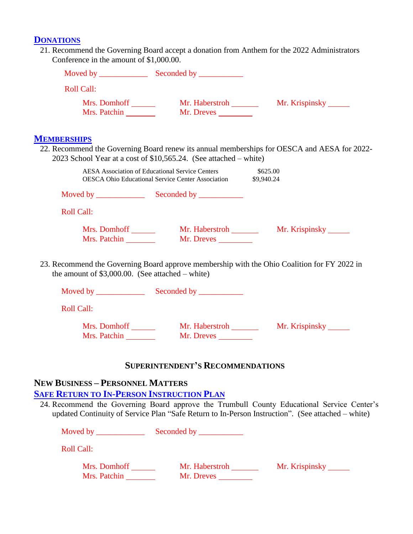#### **DONATIONS**

21. Recommend the Governing Board accept a donation from Anthem for the 2022 Administrators Conference in the amount of \$1,000.00.

| <b>Roll Call:</b>                                  |                                                                                                                        |                                                                                             |
|----------------------------------------------------|------------------------------------------------------------------------------------------------------------------------|---------------------------------------------------------------------------------------------|
|                                                    |                                                                                                                        |                                                                                             |
| <b>MEMBERSHIPS</b>                                 |                                                                                                                        |                                                                                             |
|                                                    | 2023 School Year at a cost of \$10,565.24. (See attached – white)                                                      | 22. Recommend the Governing Board renew its annual memberships for OESCA and AESA for 2022- |
|                                                    | AESA Association of Educational Service Centers<br><b>OESCA Ohio Educational Service Center Association</b> \$9,940.24 | \$625.00                                                                                    |
|                                                    |                                                                                                                        |                                                                                             |
| <b>Roll Call:</b>                                  |                                                                                                                        |                                                                                             |
| Mrs. Patchin                                       | Mr. Dreves                                                                                                             |                                                                                             |
| the amount of $$3,000.00$ . (See attached – white) |                                                                                                                        | 23. Recommend the Governing Board approve membership with the Ohio Coalition for FY 2022 in |

Moved by \_\_\_\_\_\_\_\_\_\_\_\_ Seconded by \_\_\_\_\_\_\_\_\_\_\_ Roll Call: Mrs. Domhoff Mr. Haberstroh Mr. Krispinsky Mrs. Patchin Mr. Dreves

#### **SUPERINTENDENT'S RECOMMENDATIONS**

## **NEW BUSINESS – PERSONNEL MATTERS**

## **SAFE RETURN TO IN-PERSON INSTRUCTION PLAN**

24. Recommend the Governing Board approve the Trumbull County Educational Service Center's updated Continuity of Service Plan "Safe Return to In-Person Instruction". (See attached – white)

Moved by \_\_\_\_\_\_\_\_\_\_\_\_ Seconded by \_\_\_\_\_\_\_\_\_\_\_

Roll Call:

| Mrs. Domhoff | Mr. Haberstroh | Mr. Krispinsky |
|--------------|----------------|----------------|
| Mrs. Patchin | Mr. Dreves     |                |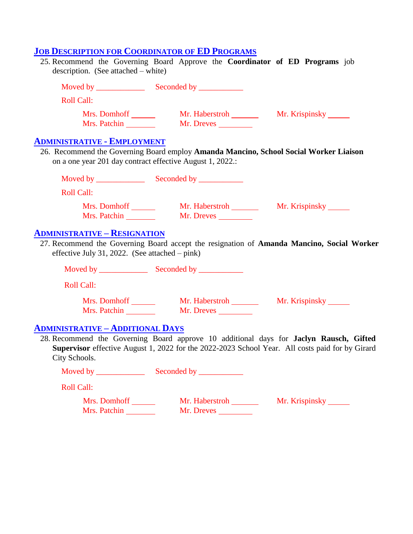## **JOB DESCRIPTION FOR COORDINATOR OF ED PROGRAMS**

| 25. Recommend the Governing Board Approve the Coordinator of ED Programs job<br>description. (See attached – white) |                                       |                                                                                                                                                                                           |
|---------------------------------------------------------------------------------------------------------------------|---------------------------------------|-------------------------------------------------------------------------------------------------------------------------------------------------------------------------------------------|
|                                                                                                                     |                                       |                                                                                                                                                                                           |
| <b>Roll Call:</b>                                                                                                   |                                       |                                                                                                                                                                                           |
|                                                                                                                     |                                       |                                                                                                                                                                                           |
| <u> ADMINISTRATIVE - EMPLOYMENT</u><br>on a one year 201 day contract effective August 1, 2022.:                    |                                       | 26. Recommend the Governing Board employ Amanda Mancino, School Social Worker Liaison                                                                                                     |
|                                                                                                                     |                                       |                                                                                                                                                                                           |
| <b>Roll Call:</b>                                                                                                   |                                       |                                                                                                                                                                                           |
|                                                                                                                     |                                       |                                                                                                                                                                                           |
| Mrs. Patchin                                                                                                        | Mr. Dreves                            |                                                                                                                                                                                           |
| effective July 31, 2022. (See attached $-$ pink)<br><b>Roll Call:</b>                                               |                                       | 27. Recommend the Governing Board accept the resignation of Amanda Mancino, Social Worker                                                                                                 |
| Mrs. Domhoff                                                                                                        |                                       | Mr. Haberstroh Mr. Krispinsky                                                                                                                                                             |
| <b>ADMINISTRATIVE - ADDITIONAL DAYS</b>                                                                             |                                       |                                                                                                                                                                                           |
| City Schools.                                                                                                       |                                       | 28. Recommend the Governing Board approve 10 additional days for Jaclyn Rausch, Gifted<br>Supervisor effective August 1, 2022 for the 2022-2023 School Year. All costs paid for by Girard |
|                                                                                                                     | Seconded by ____________              |                                                                                                                                                                                           |
| <b>Roll Call:</b>                                                                                                   |                                       |                                                                                                                                                                                           |
| Mrs. Domhoff<br>Mrs. Patchin                                                                                        | Mr. Haberstroh ________<br>Mr. Dreves | Mr. Krispinsky                                                                                                                                                                            |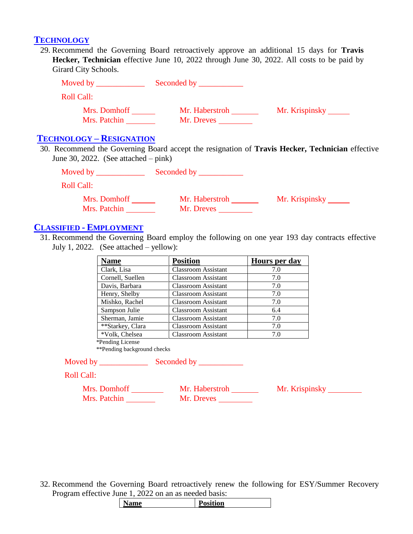#### **TECHNOLOGY**

29. Recommend the Governing Board retroactively approve an additional 15 days for **Travis Hecker, Technician** effective June 10, 2022 through June 30, 2022. All costs to be paid by Girard City Schools.

| Moved by                     | Seconded by ___              |                |
|------------------------------|------------------------------|----------------|
| Roll Call:                   |                              |                |
| Mrs. Domhoff<br>Mrs. Patchin | Mr. Haberstroh<br>Mr. Dreves | Mr. Krispinsky |

#### **TECHNOLOGY – RESIGNATION**

30. Recommend the Governing Board accept the resignation of **Travis Hecker, Technician** effective June 30, 2022. (See attached – pink)

| Moved by                     | Seconded by                  |                |
|------------------------------|------------------------------|----------------|
| Roll Call:                   |                              |                |
| Mrs. Domhoff<br>Mrs. Patchin | Mr. Haberstroh<br>Mr. Dreves | Mr. Krispinsky |

## **CLASSIFIED - EMPLOYMENT**

31. Recommend the Governing Board employ the following on one year 193 day contracts effective July 1, 2022. (See attached – yellow):

| <b>Name</b>      | <b>Position</b>            | Hours per day |
|------------------|----------------------------|---------------|
| Clark, Lisa      | <b>Classroom Assistant</b> | 7.0           |
| Cornell, Suellen | <b>Classroom Assistant</b> | 7.0           |
| Davis, Barbara   | <b>Classroom Assistant</b> | 7.0           |
| Henry, Shelby    | <b>Classroom Assistant</b> | 7.0           |
| Mishko, Rachel   | <b>Classroom Assistant</b> | 7.0           |
| Sampson Julie    | <b>Classroom Assistant</b> | 6.4           |
| Sherman, Jamie   | <b>Classroom Assistant</b> | 7.0           |
| **Starkey, Clara | <b>Classroom Assistant</b> | 7.0           |
| *Volk, Chelsea   | <b>Classroom Assistant</b> | 7.0           |
| *Pending License |                            |               |

\*\*Pending background checks

Moved by \_\_\_\_\_\_\_\_\_\_\_\_ Seconded by \_\_\_\_\_\_\_\_\_\_\_

Roll Call:

Mrs. Domhoff Mr. Haberstroh Mr. Krispinsky Mrs. Patchin Mrs. Patchin Mr. Dreves Mrs. Patchin Mr. Dreves

32. Recommend the Governing Board retroactively renew the following for ESY/Summer Recovery Program effective June 1, 2022 on an as needed basis:

|  | me | <b>iition</b><br>ູ |
|--|----|--------------------|
|--|----|--------------------|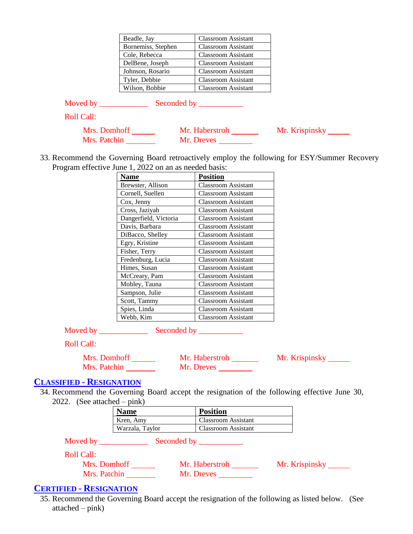| Beadle, Jay        | <b>Classroom Assistant</b> |
|--------------------|----------------------------|
| Bornemiss, Stephen | <b>Classroom Assistant</b> |
| Cole, Rebecca      | <b>Classroom Assistant</b> |
| DelBene, Joseph    | <b>Classroom Assistant</b> |
| Johnson, Rosario   | <b>Classroom Assistant</b> |
| Tyler, Debbie      | <b>Classroom Assistant</b> |
| Wilson, Bobbie     | <b>Classroom Assistant</b> |
|                    |                            |

| Moved by | Seconded by |  |
|----------|-------------|--|
|----------|-------------|--|

Roll Call:

| Mrs. Domhoff | Mr. Haberstroh | Mr. Krispinsky |
|--------------|----------------|----------------|
| Mrs. Patchin | Mr. Dreves     |                |

33. Recommend the Governing Board retroactively employ the following for ESY/Summer Recovery Program effective June 1, 2022 on an as needed basis:

| Name                  | <b>Position</b>            |
|-----------------------|----------------------------|
| Brewster, Allison     | <b>Classroom Assistant</b> |
| Cornell, Suellen      | Classroom Assistant        |
| Cox, Jenny            | <b>Classroom Assistant</b> |
| Cross, Jaziyah        | <b>Classroom Assistant</b> |
| Dangerfield, Victoria | <b>Classroom Assistant</b> |
| Davis, Barbara        | <b>Classroom Assistant</b> |
| DiBacco, Shelley      | <b>Classroom Assistant</b> |
| Egry, Kristine        | <b>Classroom Assistant</b> |
| Fisher, Terry         | <b>Classroom Assistant</b> |
| Fredenburg, Lucia     | <b>Classroom Assistant</b> |
| Himes, Susan          | <b>Classroom Assistant</b> |
| McCreary, Pam         | <b>Classroom Assistant</b> |
| Mobley, Tauna         | <b>Classroom Assistant</b> |
| Sampson, Julie        | <b>Classroom Assistant</b> |
| Scott, Tammy          | Classroom Assistant        |
| Spies, Linda          | Classroom Assistant        |
| Webb, Kim             | Classroom Assistant        |

Moved by \_\_\_\_\_\_\_\_\_\_\_\_ Seconded by \_\_\_\_\_\_\_\_\_\_\_

Roll Call:

| Mrs. Domhoff | Mr. Haberstroh | Mr. Krispinsky |
|--------------|----------------|----------------|
| Mrs. Patchin | Mr. Dreves     |                |

## **CLASSIFIED - RESIGNATION**

34. Recommend the Governing Board accept the resignation of the following effective June 30, 2022. (See attached – pink)

| <b>Name</b>     | <b>Position</b>            |
|-----------------|----------------------------|
| Kren, Amy       | <b>Classroom</b> Assistant |
| Warzala, Taylor | Classroom Assistant        |

Moved by \_\_\_\_\_\_\_\_\_\_\_\_ Seconded by \_\_\_\_\_\_\_\_\_\_\_

Roll Call:

| Cun.         |                |                |
|--------------|----------------|----------------|
| Mrs. Domhoff | Mr. Haberstroh | Mr. Krispinsky |
| Mrs. Patchin | Mr. Dreves     |                |

## **CERTIFIED - RESIGNATION**

35. Recommend the Governing Board accept the resignation of the following as listed below. (See attached – pink)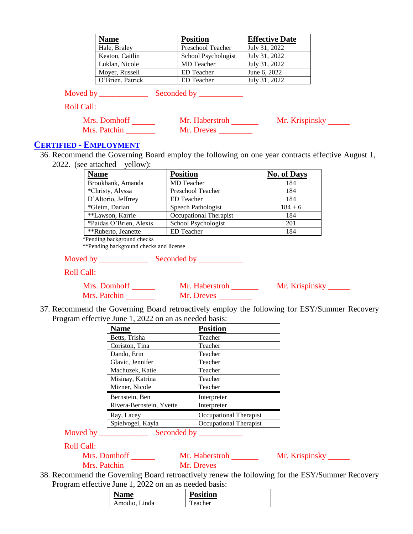| <b>Name</b>      | <b>Position</b>     | <b>Effective Date</b> |
|------------------|---------------------|-----------------------|
| Hale, Braley     | Preschool Teacher   | July 31, 2022         |
| Keaton, Caitlin  | School Psychologist | July 31, 2022         |
| Luklan, Nicole   | <b>MD</b> Teacher   | July 31, 2022         |
| Moyer, Russell   | <b>ED</b> Teacher   | June 6, 2022          |
| O'Brien, Patrick | <b>ED</b> Teacher   | July 31, 2022         |

Moved by \_\_\_\_\_\_\_\_\_\_\_\_ Seconded by \_\_\_\_\_\_\_\_\_\_\_

Roll Call:

| Mrs. Domhoff | Mr. Haberstroh | Mr. Krispinsky |
|--------------|----------------|----------------|
| Mrs. Patchin | Mr. Dreves     |                |

#### **CERTIFIED - EMPLOYMENT**

36. Recommend the Governing Board employ the following on one year contracts effective August 1, 2022. (see attached – yellow):

| <b>Name</b>             | <b>Position</b>        | <b>No. of Days</b> |
|-------------------------|------------------------|--------------------|
| Brookbank, Amanda       | MD Teacher             | 184                |
| *Christy, Alyssa        | Preschool Teacher      | 184                |
| D'Altorio, Jeffrrey     | <b>ED</b> Teacher      | 184                |
| *Gleim, Darian          | Speech Pathologist     | $184 + 6$          |
| **Lawson, Karrie        | Occupational Therapist | 184                |
| *Paidas O'Brien, Alexis | School Psychologist    | 201                |
| **Ruberto, Jeanette     | <b>ED</b> Teacher      | 184                |

\*Pending background checks

\*\*Pending background checks and license

Moved by \_\_\_\_\_\_\_\_\_\_\_\_ Seconded by \_\_\_\_\_\_\_\_\_\_\_

Roll Call:

| Mrs. Domhoff | Mr. Haberstroh | Mr. Krispinsky |
|--------------|----------------|----------------|
| Mrs. Patchin | Mr. Dreves     |                |

37. Recommend the Governing Board retroactively employ the following for ESY/Summer Recovery Program effective June 1, 2022 on an as needed basis:

| <b>Name</b>              | <b>Position</b>        |
|--------------------------|------------------------|
| Betts, Trisha            | Teacher                |
| Coriston, Tina           | Teacher                |
| Dando, Erin              | Teacher                |
| Glavic, Jennifer         | Teacher                |
| Machuzek, Katie          | Teacher                |
| Misinay, Katrina         | Teacher                |
| Mizner, Nicole           | Teacher                |
| Bernstein, Ben           | Interpreter            |
| Rivera-Bernstein, Yvette | Interpreter            |
| Ray, Lacey               | Occupational Therapist |
| Spielvogel, Kayla        | Occupational Therapist |

Moved by \_\_\_\_\_\_\_\_\_\_\_\_ Seconded by \_\_\_\_\_\_\_\_\_\_\_

Roll Call:

Mrs. Domhoff Mr. Haberstroh Mr. Krispinsky Mrs. Patchin Mr. Dreves

38. Recommend the Governing Board retroactively renew the following for the ESY/Summer Recovery Program effective June 1, 2022 on an as needed basis:

| <b>Name</b>   | <b>Position</b> |
|---------------|-----------------|
| Amodio, Linda | Teacher         |